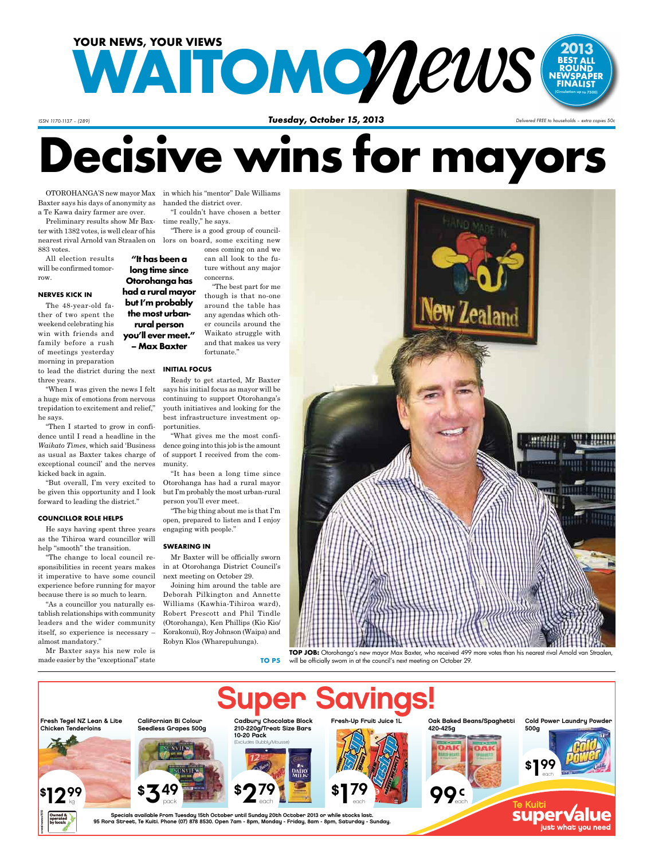

*ISSN 1170-1137 – (289)* 

*Tuesday, October 15, 2013 Delivered FREE to households – extra copies 50c*

# **Decisive wins for mayors**

Baxter says his days of anonymity as handed the district over. a Te Kawa dairy farmer are over.

Preliminary results show Mr Baxter with 1382 votes, is well clear of his nearest rival Arnold van Straalen on lors on board, some exciting new 883 votes.

All election results will be confirmed tomorrow.

#### **NERVES KICK IN**

The 48-year-old father of two spent the weekend celebrating his win with friends and family before a rush of meetings yesterday morning in preparation

to lead the district during the next **INITIAL FOCU** three years.

"When I was given the news I felt a huge mix of emotions from nervous trepidation to excitement and relief," he says.

"Then I started to grow in confidence until I read a headline in the *Waikato Times*, which said 'Business as usual as Baxter takes charge of exceptional council' and the nerves kicked back in again.

"But overall, I'm very excited to be given this opportunity and I look forward to leading the district."

#### **COUNCILLOR ROLE HELPS**

He says having spent three years as the Tihiroa ward councillor will help "smooth" the transition.

"The change to local council responsibilities in recent years makes it imperative to have some council experience before running for mayor because there is so much to learn.

"As a councillor you naturally establish relationships with community leaders and the wider community itself, so experience is necessary – almost mandatory."

Mr Baxter says his new role is made easier by the "exceptional" state

kg

svwainewss1510

OTOROHANGA'S new mayor Max in which his "mentor" Dale Williams "I couldn't have chosen a better

> time really," he says. "There is a good group of council-

> > ones coming on and we can all look to the future without any major concerns.

"The best part for me though is that no-one around the table has any agendas which other councils around the Waikato struggle with and that makes us very fortunate." **Otorohanga has had a rural mayor but I'm probably the most urbanyou'll ever meet."**

**"It has been a long time since** 

**rural person** 

**– Max Baxter**

Ready to get started, Mr Baxter says his initial focus as mayor will be continuing to support Otorohanga's youth initiatives and looking for the best infrastructure investment opportunities.

"What gives me the most confidence going into this job is the amount of support I received from the community.

"It has been a long time since Otorohanga has had a rural mayor but I'm probably the most urban-rural person you'll ever meet.

"The big thing about me is that I'm open, prepared to listen and I enjoy engaging with people."

#### **SWEARING IN**

Mr Baxter will be officially sworn in at Otorohanga District Council's next meeting on October 29.

Joining him around the table are Deborah Pilkington and Annette Williams (Kawhia-Tihiroa ward), Robert Prescott and Phil Tindle (Otorohanga), Ken Phillips (Kio Kio/ Korakonui), Roy Johnson (Waipa) and Robyn Klos (Wharepuhunga).

**TO P5**



will be officially sworn in at the council's next meeting on October 29.

Oak Baked Beans/Spaghetti 420-425g \$¶99 each Cold Power Laundry Powder 500g **Inan Savings** Fresh-Up Fruit Juice 1L each Fresh Tegel NZ Lean & Lite Chicken Tenderloins Californian Bi Colour Seedless Grapes 500g Cadbury Chocolate Block 210-220g/Treat Size Bars 10-20 Pack (Excludes Bubbly/Mousse) Te Kuit<del>.</del> \$**279** each \$¶79 each  $$349$ pack  $\frac{12\%}{2\%}$   $\frac{12\%}{2\%}$   $\frac{12\%}{2\%}$   $\frac{12\%}{2\%}$   $\frac{12\%}{2\%}$   $\frac{12\%}{2\%}$   $\frac{12\%}{2\%}$ 99s

Specials available from Tuesday 15th October until Sunday 20th October 2013 or while stocks last. 95 Rora Street, Te Kuiti. Phone (07) 878 8530. Open 7am - 8pm, Monday - Friday, 8am - 8pm, Saturday - Sunday.